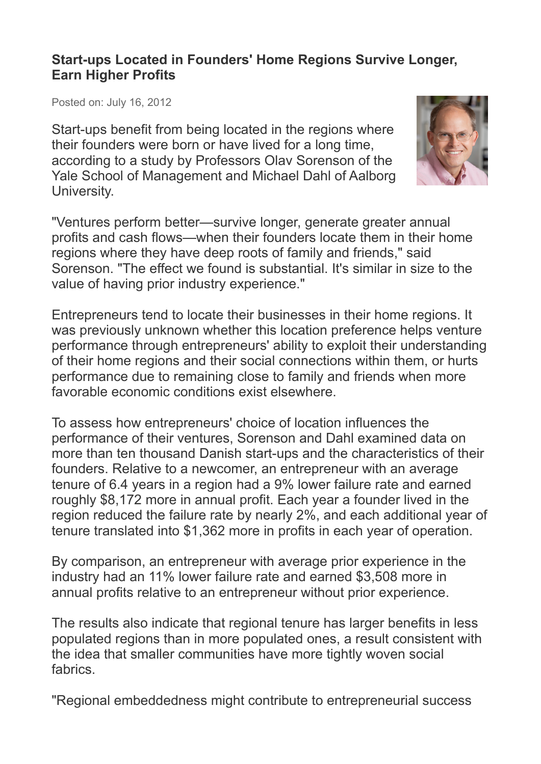## **Start-ups Located in Founders' Home Regions Survive Longer, Earn Higher Profits**

Posted on: July 16, 2012

Start-ups benefit from being located in the regions where their founders were born or have lived for a long time, according to a study by Professors Olav Sorenson of the Yale School of Management and Michael Dahl of Aalborg University.



"Ventures perform better—survive longer, generate greater annual profits and cash flows—when their founders locate them in their home regions where they have deep roots of family and friends," said Sorenson. "The effect we found is substantial. It's similar in size to the value of having prior industry experience."

Entrepreneurs tend to locate their businesses in their home regions. It was previously unknown whether this location preference helps venture performance through entrepreneurs' ability to exploit their understanding of their home regions and their social connections within them, or hurts performance due to remaining close to family and friends when more favorable economic conditions exist elsewhere.

To assess how entrepreneurs' choice of location influences the performance of their ventures, Sorenson and Dahl examined data on more than ten thousand Danish start-ups and the characteristics of their founders. Relative to a newcomer, an entrepreneur with an average tenure of 6.4 years in a region had a 9% lower failure rate and earned roughly \$8,172 more in annual profit. Each year a founder lived in the region reduced the failure rate by nearly 2%, and each additional year of tenure translated into \$1,362 more in profits in each year of operation.

By comparison, an entrepreneur with average prior experience in the industry had an 11% lower failure rate and earned \$3,508 more in annual profits relative to an entrepreneur without prior experience.

The results also indicate that regional tenure has larger benefits in less populated regions than in more populated ones, a result consistent with the idea that smaller communities have more tightly woven social fabrics.

"Regional embeddedness might contribute to entrepreneurial success